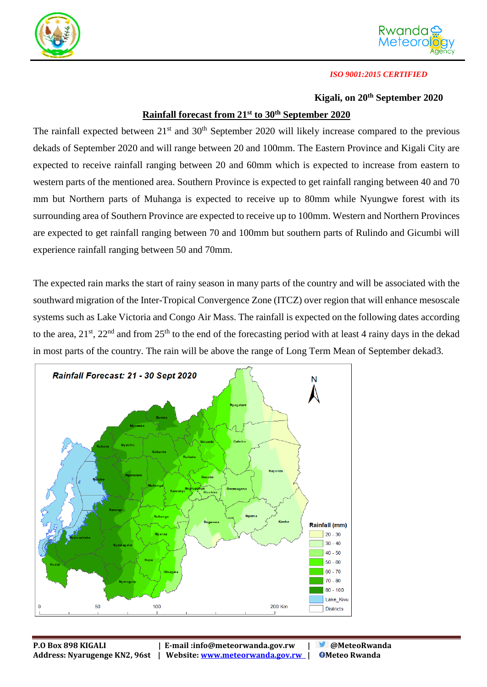



### *ISO 9001:2015 CERTIFIED*

### **Kigali, on 20th September 2020**

## **Rainfall forecast from 21st to 30th September 2020**

The rainfall expected between  $21<sup>st</sup>$  and  $30<sup>th</sup>$  September 2020 will likely increase compared to the previous dekads of September 2020 and will range between 20 and 100mm. The Eastern Province and Kigali City are expected to receive rainfall ranging between 20 and 60mm which is expected to increase from eastern to western parts of the mentioned area. Southern Province is expected to get rainfall ranging between 40 and 70 mm but Northern parts of Muhanga is expected to receive up to 80mm while Nyungwe forest with its surrounding area of Southern Province are expected to receive up to 100mm. Western and Northern Provinces are expected to get rainfall ranging between 70 and 100mm but southern parts of Rulindo and Gicumbi will experience rainfall ranging between 50 and 70mm.

The expected rain marks the start of rainy season in many parts of the country and will be associated with the southward migration of the Inter-Tropical Convergence Zone (ITCZ) over region that will enhance mesoscale systems such as Lake Victoria and Congo Air Mass. The rainfall is expected on the following dates according to the area,  $21^{st}$ ,  $22^{nd}$  and from  $25^{th}$  to the end of the forecasting period with at least 4 rainy days in the dekad in most parts of the country. The rain will be above the range of Long Term Mean of September dekad3.